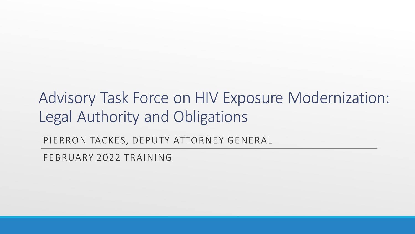#### Advisory Task Force on HIV Exposure Modernization: Legal Authority and Obligations

PIERRON TACKES, DEPUTY ATTORNEY GENERAL

FEBRUARY 2022 TRAINING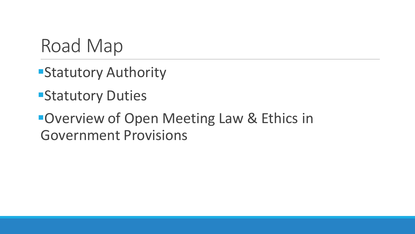Road Map

- **Estatutory Authority**
- **EStatutory Duties**

#### **Overview of Open Meeting Law & Ethics in** Government Provisions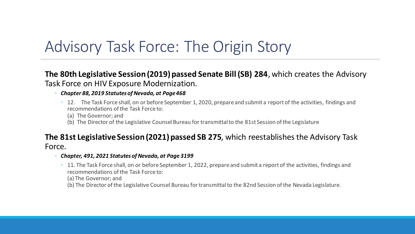## Advisory Task Force: The Origin Story

**The 80th Legislative Session (2019) passed Senate Bill (SB) 284**, which creates the Advisory Task Force on HIV Exposure Modernization.

- *Chapter 88, 2019 Statutes of Nevada, at Page468*
	- 12. The Task Force shall, on or before September 1, 2020, prepare and submit a report of the activities, findings and recommendations of the Task Force to:
		- (a) The Governor; and
		- (b) The Director of the Legislative Counsel Bureau for transmittal to the 81st Session of the Legislature

#### **The 81st Legislative Session (2021) passed SB 275***,* which reestablishes the Advisory Task Force.

- *Chapter, 491, 2021 Statutes of Nevada, at Page 3199*
	- 11. The Task Force shall, on or before September 1, 2022, prepare and submit a report of the activities, findings and recommendations of the Task Force to:

(a) The Governor; and

(b) The Director of the Legislative Counsel Bureau for transmittal to the 82nd Session of the Nevada Legislature.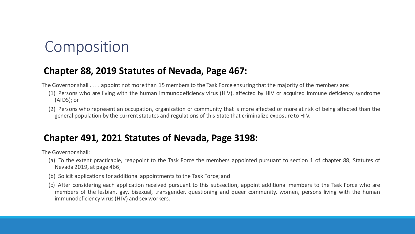#### Composition

#### **Chapter 88, 2019 Statutes of Nevada, Page 467:**

The Governor shall . . . . appoint not more than 15 members to the Task Force ensuring that the majority of the members are:

- (1) Persons who are living with the human immunodeficiency virus (HIV), affected by HIV or acquired immune deficiency syndrome (AIDS); or
- (2) Persons who represent an occupation, organization or community that is more affected or more at risk of being affected than the general population by the current statutes and regulations of this State that criminalize exposure to HIV.

#### **Chapter 491, 2021 Statutes of Nevada, Page 3198:**

The Governorshall:

- (a) To the extent practicable, reappoint to the Task Force the members appointed pursuant to section 1 of chapter 88, Statutes of Nevada 2019, at page 466;
- (b) Solicit applications for additional appointments to the Task Force; and
- (c) After considering each application received pursuant to this subsection, appoint additional members to the Task Force who are members of the lesbian, gay, bisexual, transgender, questioning and queer community, women, persons living with the human immunodeficiency virus(HIV) and sex workers.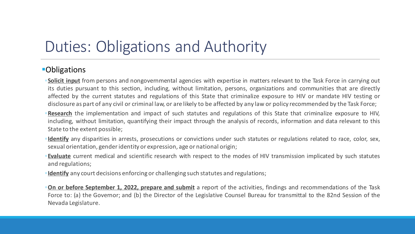## Duties: Obligations and Authority

#### **Obligations**

- ◦**Solicit input** from persons and nongovernmental agencies with expertise in matters relevant to the Task Force in carrying out its duties pursuant to this section, including, without limitation, persons, organizations and communities that are directly affected by the current statutes and regulations of this State that criminalize exposure to HIV or mandate HIV testing or disclosure as part of any civil or criminal law, or are likely to be affected by any law or policy recommended by the Task Force;
- ◦**Research** the implementation and impact of such statutes and regulations of this State that criminalize exposure to HIV, including, without limitation, quantifying their impact through the analysis of records, information and data relevant to this State to the extent possible;
- ◦**Identify** any disparities in arrests, prosecutions or convictions under such statutes or regulations related to race, color, sex, sexual orientation, genderidentity or expression, age or national origin;
- ◦**Evaluate** current medical and scientific research with respect to the modes of HIV transmission implicated by such statutes and regulations;
- ◦**Identify** any court decisions enforcing or challenging such statutes and regulations;
- ◦**On or before September 1, 2022, prepare and submit** a report of the activities, findings and recommendations of the Task Force to: (a) the Governor; and (b) the Director of the Legislative Counsel Bureau for transmittal to the 82nd Session of the Nevada Legislature.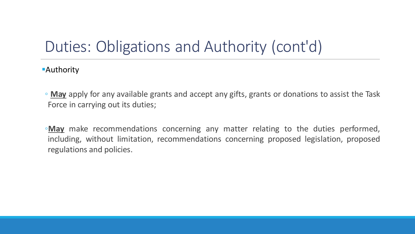## Duties: Obligations and Authority (cont'd)

**Authority** 

- **May** apply for any available grants and accept any gifts, grants or donations to assist the Task Force in carrying out its duties;
- ◦**May** make recommendations concerning any matter relating to the duties performed, including, without limitation, recommendations concerning proposed legislation, proposed regulations and policies.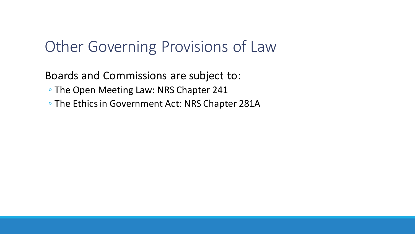#### Other Governing Provisions of Law

Boards and Commissions are subject to:

- The Open Meeting Law: NRS Chapter 241
- The Ethics in Government Act: NRS Chapter 281A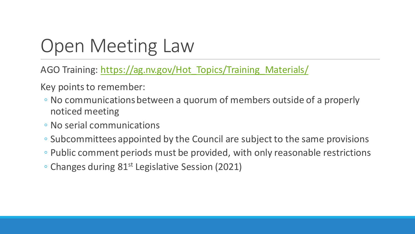# Open Meeting Law

AGO Training: [https://ag.nv.gov/Hot\\_Topics/Training\\_Materials/](https://ag.nv.gov/Hot_Topics/Training_Materials/)

Key points to remember:

- No communications between a quorum of members outside of a properly noticed meeting
- No serial communications
- Subcommittees appointed by the Council are subject to the same provisions
- Public comment periods must be provided, with only reasonable restrictions
- Changes during 81st Legislative Session (2021)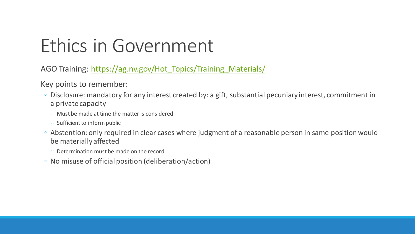# Ethics in Government

AGO Training: [https://ag.nv.gov/Hot\\_Topics/Training\\_Materials/](https://ag.nv.gov/Hot_Topics/Training_Materials/)

Key points to remember:

- Disclosure: mandatory for any interest created by: a gift, substantial pecuniary interest, commitment in a private capacity
	- Must be made at time the matter is considered
	- Sufficient to inform public
- Abstention: only required in clear cases where judgment of a reasonable person in same position would be materially affected
	- Determination must be made on the record
- No misuse of official position (deliberation/action)